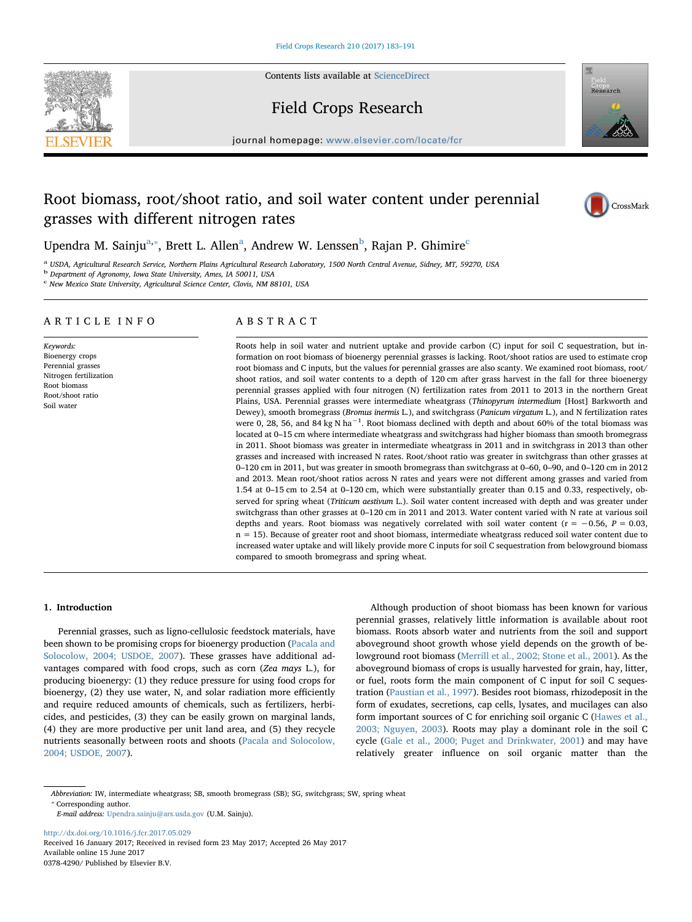Contents lists available at [ScienceDirect](http://www.sciencedirect.com/science/journal/03784290)

# Field Crops Research

journal homepage: [www.elsevier.com/locate/fcr](http://www.elsevier.com/locate/fcr)

# Root biomass, root/shoot ratio, and soil water content under perennial grasses with different nitrogen rates

Upendr[a](#page-0-0) M. Sainju<sup>a,</sup>\*, Brett L. Allen<sup>a</sup>, Andrew W. Lenssen<sup>[b](#page-0-2)</sup>, Rajan P. Ghimire<sup>[c](#page-0-3)</sup>

<span id="page-0-0"></span><sup>a</sup> USDA, Agricultural Research Service, Northern Plains Agricultural Research Laboratory, 1500 North Central Avenue, Sidney, MT, 59270, USA

<span id="page-0-2"></span><sup>b</sup> Department of Agronomy, Iowa State University, Ames, IA 50011, USA

<span id="page-0-3"></span><sup>c</sup> New Mexico State University, Agricultural Science Center, Clovis, NM 88101, USA

# ARTICLE INFO

Keywords: Bioenergy crops Perennial grasses Nitrogen fertilization Root biomass Root/shoot ratio Soil water

# ABSTRACT

Roots help in soil water and nutrient uptake and provide carbon (C) input for soil C sequestration, but information on root biomass of bioenergy perennial grasses is lacking. Root/shoot ratios are used to estimate crop root biomass and C inputs, but the values for perennial grasses are also scanty. We examined root biomass, root/ shoot ratios, and soil water contents to a depth of 120 cm after grass harvest in the fall for three bioenergy perennial grasses applied with four nitrogen (N) fertilization rates from 2011 to 2013 in the northern Great Plains, USA. Perennial grasses were intermediate wheatgrass (Thinopyrum intermedium [Host] Barkworth and Dewey), smooth bromegrass (Bromus inermis L.), and switchgrass (Panicum virgatum L.), and N fertilization rates were 0, 28, 56, and 84 kg N ha<sup>-1</sup>. Root biomass declined with depth and about 60% of the total biomass was located at 0–15 cm where intermediate wheatgrass and switchgrass had higher biomass than smooth bromegrass in 2011. Shoot biomass was greater in intermediate wheatgrass in 2011 and in switchgrass in 2013 than other grasses and increased with increased N rates. Root/shoot ratio was greater in switchgrass than other grasses at 0–120 cm in 2011, but was greater in smooth bromegrass than switchgrass at 0–60, 0–90, and 0–120 cm in 2012 and 2013. Mean root/shoot ratios across N rates and years were not different among grasses and varied from 1.54 at 0–15 cm to 2.54 at 0–120 cm, which were substantially greater than 0.15 and 0.33, respectively, observed for spring wheat (Triticum aestivum L.). Soil water content increased with depth and was greater under switchgrass than other grasses at 0–120 cm in 2011 and 2013. Water content varied with N rate at various soil depths and years. Root biomass was negatively correlated with soil water content ( $r = -0.56$ ,  $P = 0.03$ , n = 15). Because of greater root and shoot biomass, intermediate wheatgrass reduced soil water content due to increased water uptake and will likely provide more C inputs for soil C sequestration from belowground biomass compared to smooth bromegrass and spring wheat.

## 1. Introduction

Perennial grasses, such as ligno-cellulosic feedstock materials, have been shown to be promising crops for bioenergy production ([Pacala and](#page-8-0) [Solocolow, 2004; USDOE, 2007](#page-8-0)). These grasses have additional advantages compared with food crops, such as corn (Zea mays L.), for producing bioenergy: (1) they reduce pressure for using food crops for bioenergy, (2) they use water, N, and solar radiation more efficiently and require reduced amounts of chemicals, such as fertilizers, herbicides, and pesticides, (3) they can be easily grown on marginal lands, (4) they are more productive per unit land area, and (5) they recycle nutrients seasonally between roots and shoots ([Pacala and Solocolow,](#page-8-0) [2004; USDOE, 2007](#page-8-0)).

Although production of shoot biomass has been known for various perennial grasses, relatively little information is available about root biomass. Roots absorb water and nutrients from the soil and support aboveground shoot growth whose yield depends on the growth of belowground root biomass ([Merrill et al., 2002; Stone et al., 2001](#page-8-1)). As the aboveground biomass of crops is usually harvested for grain, hay, litter, or fuel, roots form the main component of C input for soil C sequestration ([Paustian et al., 1997](#page-8-2)). Besides root biomass, rhizodeposit in the form of exudates, secretions, cap cells, lysates, and mucilages can also form important sources of C for enriching soil organic C ([Hawes et al.,](#page-8-3) [2003; Nguyen, 2003\)](#page-8-3). Roots may play a dominant role in the soil C cycle ([Gale et al., 2000; Puget and Drinkwater, 2001](#page-8-4)) and may have relatively greater influence on soil organic matter than the

⁎ Corresponding author.

<http://dx.doi.org/10.1016/j.fcr.2017.05.029> Received 16 January 2017; Received in revised form 23 May 2017; Accepted 26 May 2017 Available online 15 June 2017 0378-4290/ Published by Elsevier B.V.







<span id="page-0-1"></span>Abbreviation: IW, intermediate wheatgrass; SB, smooth bromegrass (SB); SG, switchgrass; SW, spring wheat

E-mail address: [Upendra.sainju@ars.usda.gov](mailto:Upendra.sainju@ars.usda.gov) (U.M. Sainju).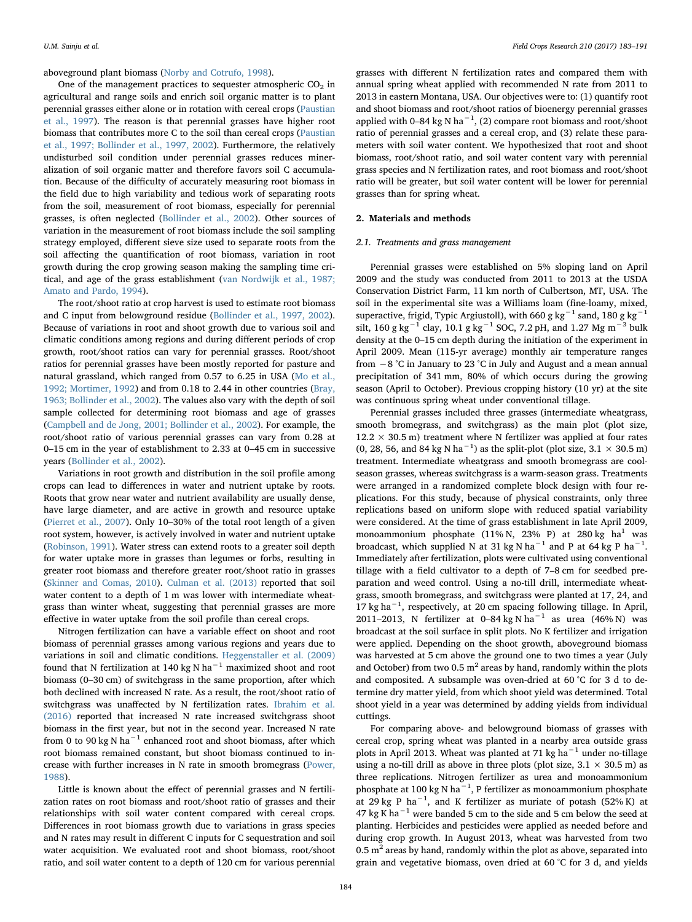aboveground plant biomass [\(Norby and Cotrufo, 1998\)](#page-8-5).

One of the management practices to sequester atmospheric  $CO<sub>2</sub>$  in agricultural and range soils and enrich soil organic matter is to plant perennial grasses either alone or in rotation with cereal crops ([Paustian](#page-8-2) [et al., 1997\)](#page-8-2). The reason is that perennial grasses have higher root biomass that contributes more C to the soil than cereal crops ([Paustian](#page-8-2) [et al., 1997; Bollinder et al., 1997, 2002\)](#page-8-2). Furthermore, the relatively undisturbed soil condition under perennial grasses reduces mineralization of soil organic matter and therefore favors soil C accumulation. Because of the difficulty of accurately measuring root biomass in the field due to high variability and tedious work of separating roots from the soil, measurement of root biomass, especially for perennial grasses, is often neglected [\(Bollinder et al., 2002](#page-8-6)). Other sources of variation in the measurement of root biomass include the soil sampling strategy employed, different sieve size used to separate roots from the soil affecting the quantification of root biomass, variation in root growth during the crop growing season making the sampling time critical, and age of the grass establishment ([van Nordwijk et al., 1987;](#page-8-7) [Amato and Pardo, 1994\)](#page-8-7).

The root/shoot ratio at crop harvest is used to estimate root biomass and C input from belowground residue ([Bollinder et al., 1997, 2002](#page-8-8)). Because of variations in root and shoot growth due to various soil and climatic conditions among regions and during different periods of crop growth, root/shoot ratios can vary for perennial grasses. Root/shoot ratios for perennial grasses have been mostly reported for pasture and natural grassland, which ranged from 0.57 to 6.25 in USA ([Mo et al.,](#page-8-9) [1992; Mortimer, 1992](#page-8-9)) and from 0.18 to 2.44 in other countries [\(Bray,](#page-8-10) [1963; Bollinder et al., 2002\)](#page-8-10). The values also vary with the depth of soil sample collected for determining root biomass and age of grasses ([Campbell and de Jong, 2001; Bollinder et al., 2002\)](#page-8-11). For example, the root/shoot ratio of various perennial grasses can vary from 0.28 at 0–15 cm in the year of establishment to 2.33 at 0–45 cm in successive years ([Bollinder et al., 2002](#page-8-6)).

Variations in root growth and distribution in the soil profile among crops can lead to differences in water and nutrient uptake by roots. Roots that grow near water and nutrient availability are usually dense, have large diameter, and are active in growth and resource uptake ([Pierret et al., 2007](#page-8-12)). Only 10–30% of the total root length of a given root system, however, is actively involved in water and nutrient uptake ([Robinson, 1991](#page-8-13)). Water stress can extend roots to a greater soil depth for water uptake more in grasses than legumes or forbs, resulting in greater root biomass and therefore greater root/shoot ratio in grasses ([Skinner and Comas, 2010](#page-8-14)). [Culman et al. \(2013\)](#page-8-15) reported that soil water content to a depth of 1 m was lower with intermediate wheatgrass than winter wheat, suggesting that perennial grasses are more effective in water uptake from the soil profile than cereal crops.

Nitrogen fertilization can have a variable effect on shoot and root biomass of perennial grasses among various regions and years due to variations in soil and climatic conditions. [Heggenstaller](#page-8-16) et al. (2009) found that N fertilization at 140 kg N ha<sup>-1</sup> maximized shoot and root biomass (0–30 cm) of switchgrass in the same proportion, after which both declined with increased N rate. As a result, the root/shoot ratio of switchgrass was unaffected by N fertilization rates. [Ibrahim et al.](#page-8-17) [\(2016\)](#page-8-17) reported that increased N rate increased switchgrass shoot biomass in the first year, but not in the second year. Increased N rate from 0 to 90 kg N ha<sup>-1</sup> enhanced root and shoot biomass, after which root biomass remained constant, but shoot biomass continued to increase with further increases in N rate in smooth bromegrass [\(Power,](#page-8-18) [1988\)](#page-8-18).

Little is known about the effect of perennial grasses and N fertilization rates on root biomass and root/shoot ratio of grasses and their relationships with soil water content compared with cereal crops. Differences in root biomass growth due to variations in grass species and N rates may result in different C inputs for C sequestration and soil water acquisition. We evaluated root and shoot biomass, root/shoot ratio, and soil water content to a depth of 120 cm for various perennial

grasses with different N fertilization rates and compared them with annual spring wheat applied with recommended N rate from 2011 to 2013 in eastern Montana, USA. Our objectives were to: (1) quantify root and shoot biomass and root/shoot ratios of bioenergy perennial grasses applied with 0–84 kg N ha<sup>-1</sup>, (2) compare root biomass and root/shoot ratio of perennial grasses and a cereal crop, and (3) relate these parameters with soil water content. We hypothesized that root and shoot biomass, root/shoot ratio, and soil water content vary with perennial grass species and N fertilization rates, and root biomass and root/shoot ratio will be greater, but soil water content will be lower for perennial grasses than for spring wheat.

# 2. Materials and methods

# 2.1. Treatments and grass management

Perennial grasses were established on 5% sloping land on April 2009 and the study was conducted from 2011 to 2013 at the USDA Conservation District Farm, 11 km north of Culbertson, MT, USA. The soil in the experimental site was a Williams loam (fine-loamy, mixed, superactive, frigid, Typic Argiustoll), with 660 g kg<sup>-1</sup> sand, 180 g kg<sup>-1</sup> silt, 160 g kg<sup>-1</sup> clay, 10.1 g kg<sup>-1</sup> SOC, 7.2 pH, and 1.27 Mg m<sup>-3</sup> bulk density at the 0–15 cm depth during the initiation of the experiment in April 2009. Mean (115-yr average) monthly air temperature ranges from −8 °C in January to 23 °C in July and August and a mean annual precipitation of 341 mm, 80% of which occurs during the growing season (April to October). Previous cropping history (10 yr) at the site was continuous spring wheat under conventional tillage.

Perennial grasses included three grasses (intermediate wheatgrass, smooth bromegrass, and switchgrass) as the main plot (plot size,  $12.2 \times 30.5$  m) treatment where N fertilizer was applied at four rates (0, 28, 56, and 84 kg N ha<sup>-1</sup>) as the split-plot (plot size,  $3.1 \times 30.5$  m) treatment. Intermediate wheatgrass and smooth bromegrass are coolseason grasses, whereas switchgrass is a warm-season grass. Treatments were arranged in a randomized complete block design with four replications. For this study, because of physical constraints, only three replications based on uniform slope with reduced spatial variability were considered. At the time of grass establishment in late April 2009, monoammonium phosphate  $(11\% N, 23\% P)$  at  $280 kg$  ha<sup>1</sup> was broadcast, which supplied N at 31 kg N ha<sup>-1</sup> and P at 64 kg P ha<sup>-1</sup>. Immediately after fertilization, plots were cultivated using conventional tillage with a field cultivator to a depth of 7–8 cm for seedbed preparation and weed control. Using a no-till drill, intermediate wheatgrass, smooth bromegrass, and switchgrass were planted at 17, 24, and 17 kg ha−<sup>1</sup> , respectively, at 20 cm spacing following tillage. In April, 2011–2013, N fertilizer at 0–84 kg N ha<sup>-1</sup> as urea (46% N) was broadcast at the soil surface in split plots. No K fertilizer and irrigation were applied. Depending on the shoot growth, aboveground biomass was harvested at 5 cm above the ground one to two times a year (July and October) from two 0.5  $m<sup>2</sup>$  areas by hand, randomly within the plots and composited. A subsample was oven-dried at 60 °C for 3 d to determine dry matter yield, from which shoot yield was determined. Total shoot yield in a year was determined by adding yields from individual cuttings.

For comparing above- and belowground biomass of grasses with cereal crop, spring wheat was planted in a nearby area outside grass plots in April 2013. Wheat was planted at 71 kg ha<sup> $-1$ </sup> under no-tillage using a no-till drill as above in three plots (plot size,  $3.1 \times 30.5$  m) as three replications. Nitrogen fertilizer as urea and monoammonium phosphate at 100 kg N ha<sup>-1</sup>, P fertilizer as monoammonium phosphate at 29 kg P ha<sup>-1</sup>, and K fertilizer as muriate of potash (52% K) at  $47 \text{ kg K}$  ha<sup> $-1$ </sup> were banded 5 cm to the side and 5 cm below the seed at planting. Herbicides and pesticides were applied as needed before and during crop growth. In August 2013, wheat was harvested from two  $0.5$  m<sup>2</sup> areas by hand, randomly within the plot as above, separated into grain and vegetative biomass, oven dried at 60 °C for 3 d, and yields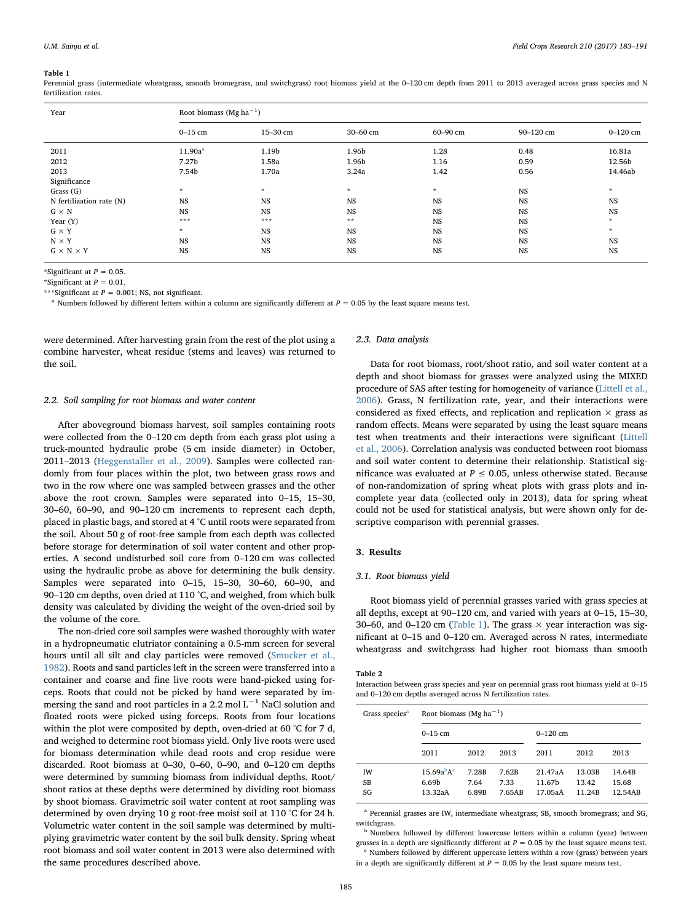<span id="page-2-0"></span>Perennial grass (intermediate wheatgrass, smooth bromegrass, and switchgrass) root biomass yield at the 0–120 cm depth from 2011 to 2013 averaged across grass species and N fertilization rates.

| Year                     | Root biomass (Mg ha <sup><math>-1</math></sup> ) |           |              |             |           |               |  |  |
|--------------------------|--------------------------------------------------|-----------|--------------|-------------|-----------|---------------|--|--|
|                          | $0-15$ cm                                        | 15-30 cm  | 30-60 cm     | 60-90 cm    | 90-120 cm | $0 - 120$ cm  |  |  |
| 2011                     | 11.90a <sup>a</sup>                              | 1.19b     | 1.96b        | 1.28        | 0.48      | 16.81a        |  |  |
| 2012                     | 7.27 <sub>b</sub>                                | 1.58a     | 1.96b        | 1.16        | 0.59      | 12.56b        |  |  |
| 2013                     | 7.54b                                            | 1.70a     | 3.24a        | 1.42        | 0.56      | 14.46ab       |  |  |
| Significance             |                                                  |           |              |             |           |               |  |  |
| Grass (G)                | $\mathcal{R}^-$                                  | $\star$   | $\star$      | $\dot{\pi}$ | <b>NS</b> | $\mathcal{R}$ |  |  |
| N fertilization rate (N) | NS                                               | NS        | <b>NS</b>    | <b>NS</b>   | NS        | <b>NS</b>     |  |  |
| $G \times N$             | <b>NS</b>                                        | <b>NS</b> | <b>NS</b>    | NS          | <b>NS</b> | <b>NS</b>     |  |  |
| Year (Y)                 | ***                                              | ***       | $\star\star$ | <b>NS</b>   | <b>NS</b> | $\mathcal{R}$ |  |  |
| $G \times Y$             | $\mathcal{R}^-$                                  | <b>NS</b> | <b>NS</b>    | NS          | <b>NS</b> | $\mathcal{R}$ |  |  |
| $N \times Y$             | <b>NS</b>                                        | <b>NS</b> | <b>NS</b>    | <b>NS</b>   | NS        | <b>NS</b>     |  |  |
| $G \times N \times Y$    | <b>NS</b>                                        | <b>NS</b> | <b>NS</b>    | <b>NS</b>   | <b>NS</b> | <b>NS</b>     |  |  |

\*Significant at  $P = 0.05$ .

\*Significant at  $P = 0.01$ .

\*\*\*Significant at  $P = 0.001$ : NS, not significant.

<span id="page-2-1"></span><sup>a</sup> Numbers followed by different letters within a column are significantly different at  $P = 0.05$  by the least square means test.

were determined. After harvesting grain from the rest of the plot using a combine harvester, wheat residue (stems and leaves) was returned to the soil.

## 2.2. Soil sampling for root biomass and water content

After aboveground biomass harvest, soil samples containing roots were collected from the 0–120 cm depth from each grass plot using a truck-mounted hydraulic probe (5 cm inside diameter) in October, 2011–2013 ([Heggenstaller et al., 2009\)](#page-8-16). Samples were collected randomly from four places within the plot, two between grass rows and two in the row where one was sampled between grasses and the other above the root crown. Samples were separated into 0–15, 15–30, 30–60, 60–90, and 90–120 cm increments to represent each depth, placed in plastic bags, and stored at 4 °C until roots were separated from the soil. About 50 g of root-free sample from each depth was collected before storage for determination of soil water content and other properties. A second undisturbed soil core from 0–120 cm was collected using the hydraulic probe as above for determining the bulk density. Samples were separated into 0–15, 15–30, 30–60, 60–90, and 90–120 cm depths, oven dried at 110 °C, and weighed, from which bulk density was calculated by dividing the weight of the oven-dried soil by the volume of the core.

The non-dried core soil samples were washed thoroughly with water in a hydropneumatic elutriator containing a 0.5-mm screen for several hours until all silt and clay particles were removed ([Smucker et al.,](#page-8-19) [1982\)](#page-8-19). Roots and sand particles left in the screen were transferred into a container and coarse and fine live roots were hand-picked using forceps. Roots that could not be picked by hand were separated by immersing the sand and root particles in a 2.2 mol  $L^{-1}$  NaCl solution and floated roots were picked using forceps. Roots from four locations within the plot were composited by depth, oven-dried at 60 °C for 7 d, and weighed to determine root biomass yield. Only live roots were used for biomass determination while dead roots and crop residue were discarded. Root biomass at 0–30, 0–60, 0–90, and 0–120 cm depths were determined by summing biomass from individual depths. Root/ shoot ratios at these depths were determined by dividing root biomass by shoot biomass. Gravimetric soil water content at root sampling was determined by oven drying 10 g root-free moist soil at 110 °C for 24 h. Volumetric water content in the soil sample was determined by multiplying gravimetric water content by the soil bulk density. Spring wheat root biomass and soil water content in 2013 were also determined with the same procedures described above.

## 2.3. Data analysis

Data for root biomass, root/shoot ratio, and soil water content at a depth and shoot biomass for grasses were analyzed using the MIXED procedure of SAS after testing for homogeneity of variance ([Littell et al.,](#page-8-20) [2006\)](#page-8-20). Grass, N fertilization rate, year, and their interactions were considered as fixed effects, and replication and replication  $\times$  grass as random effects. Means were separated by using the least square means test when treatments and their interactions were significant ([Littell](#page-8-20) [et al., 2006\)](#page-8-20). Correlation analysis was conducted between root biomass and soil water content to determine their relationship. Statistical significance was evaluated at  $P \le 0.05$ , unless otherwise stated. Because of non-randomization of spring wheat plots with grass plots and incomplete year data (collected only in 2013), data for spring wheat could not be used for statistical analysis, but were shown only for descriptive comparison with perennial grasses.

### 3. Results

## 3.1. Root biomass yield

Root biomass yield of perennial grasses varied with grass species at all depths, except at 90–120 cm, and varied with years at 0–15, 15–30, 30–60, and 0–120 cm [\(Table 1](#page-2-0)). The grass  $\times$  year interaction was significant at 0–15 and 0–120 cm. Averaged across N rates, intermediate wheatgrass and switchgrass had higher root biomass than smooth

<span id="page-2-5"></span>Table 2

Interaction between grass species and year on perennial grass root biomass yield at 0–15 and 0–120 cm depths averaged across N fertilization rates

| Grass species <sup>a</sup> | Root biomass (Mg ha <sup>-1</sup> )                    |                        |                         |                              |                           |                            |  |
|----------------------------|--------------------------------------------------------|------------------------|-------------------------|------------------------------|---------------------------|----------------------------|--|
|                            | $0-15$ cm                                              |                        |                         | $0-120$ cm                   |                           |                            |  |
|                            | 2011                                                   | 2012                   | 2013                    | 2011                         | 2012                      | 2013                       |  |
| IW<br><b>SB</b><br>SG      | 15.69a <sup>b</sup> A <sup>c</sup><br>6.69b<br>13.32aA | 7.28B<br>7.64<br>6.89B | 7.62B<br>7.33<br>7.65AB | 21.47aA<br>11.67b<br>17.05aA | 13.03B<br>13.42<br>11.24B | 14.64B<br>15.68<br>12.54AB |  |

<span id="page-2-2"></span> $^{\rm a}$  Perennial grasses are IW, intermediate wheatgrass; SB, smooth bromegrass; and SG, switchgrass.

<span id="page-2-3"></span><sup>b</sup> Numbers followed by different lowercase letters within a column (year) between grasses in a depth are significantly different at  $P = 0.05$  by the least square means test.

<span id="page-2-4"></span><sup>c</sup> Numbers followed by different uppercase letters within a row (grass) between years in a depth are significantly different at  $P = 0.05$  by the least square means test.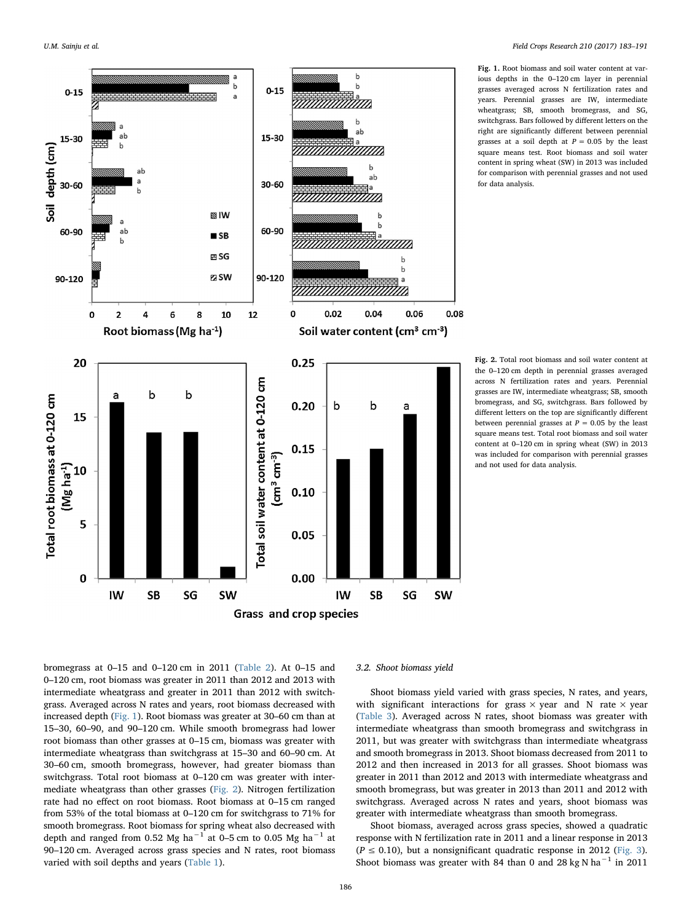<span id="page-3-1"></span><span id="page-3-0"></span>

Fig. 1. Root biomass and soil water content at various depths in the 0–120 cm layer in perennial grasses averaged across N fertilization rates and years. Perennial grasses are IW, intermediate wheatgrass; SB, smooth bromegrass, and SG, switchgrass. Bars followed by different letters on the right are significantly different between perennial grasses at a soil depth at  $P = 0.05$  by the least square means test. Root biomass and soil water content in spring wheat (SW) in 2013 was included for comparison with perennial grasses and not used for data analysis.

Fig. 2. Total root biomass and soil water content at the 0–120 cm depth in perennial grasses averaged across N fertilization rates and years. Perennial grasses are IW, intermediate wheatgrass; SB, smooth bromegrass, and SG, switchgrass. Bars followed by different letters on the top are significantly different between perennial grasses at  $P = 0.05$  by the least square means test. Total root biomass and soil water content at 0–120 cm in spring wheat (SW) in 2013 was included for comparison with perennial grasses and not used for data analysis.

bromegrass at 0–15 and 0–120 cm in 2011 [\(Table 2](#page-2-5)). At 0–15 and 0–120 cm, root biomass was greater in 2011 than 2012 and 2013 with intermediate wheatgrass and greater in 2011 than 2012 with switchgrass. Averaged across N rates and years, root biomass decreased with increased depth ([Fig. 1](#page-3-0)). Root biomass was greater at 30–60 cm than at 15–30, 60–90, and 90–120 cm. While smooth bromegrass had lower root biomass than other grasses at 0–15 cm, biomass was greater with intermediate wheatgrass than switchgrass at 15–30 and 60–90 cm. At 30–60 cm, smooth bromegrass, however, had greater biomass than switchgrass. Total root biomass at 0–120 cm was greater with intermediate wheatgrass than other grasses ([Fig. 2\)](#page-3-1). Nitrogen fertilization rate had no effect on root biomass. Root biomass at 0–15 cm ranged from 53% of the total biomass at 0–120 cm for switchgrass to 71% for smooth bromegrass. Root biomass for spring wheat also decreased with depth and ranged from 0.52 Mg ha<sup>-1</sup> at 0–5 cm to 0.05 Mg ha<sup>-1</sup> at 90–120 cm. Averaged across grass species and N rates, root biomass varied with soil depths and years ([Table 1\)](#page-2-0).

## 3.2. Shoot biomass yield

Shoot biomass yield varied with grass species, N rates, and years, with significant interactions for grass  $\times$  year and N rate  $\times$  year ([Table 3](#page-4-0)). Averaged across N rates, shoot biomass was greater with intermediate wheatgrass than smooth bromegrass and switchgrass in 2011, but was greater with switchgrass than intermediate wheatgrass and smooth bromegrass in 2013. Shoot biomass decreased from 2011 to 2012 and then increased in 2013 for all grasses. Shoot biomass was greater in 2011 than 2012 and 2013 with intermediate wheatgrass and smooth bromegrass, but was greater in 2013 than 2011 and 2012 with switchgrass. Averaged across N rates and years, shoot biomass was greater with intermediate wheatgrass than smooth bromegrass.

Shoot biomass, averaged across grass species, showed a quadratic response with N fertilization rate in 2011 and a linear response in 2013  $(P \le 0.10)$ , but a nonsignificant quadratic response in 2012 [\(Fig. 3](#page-4-1)). Shoot biomass was greater with 84 than 0 and 28 kg N ha<sup>-1</sup> in 2011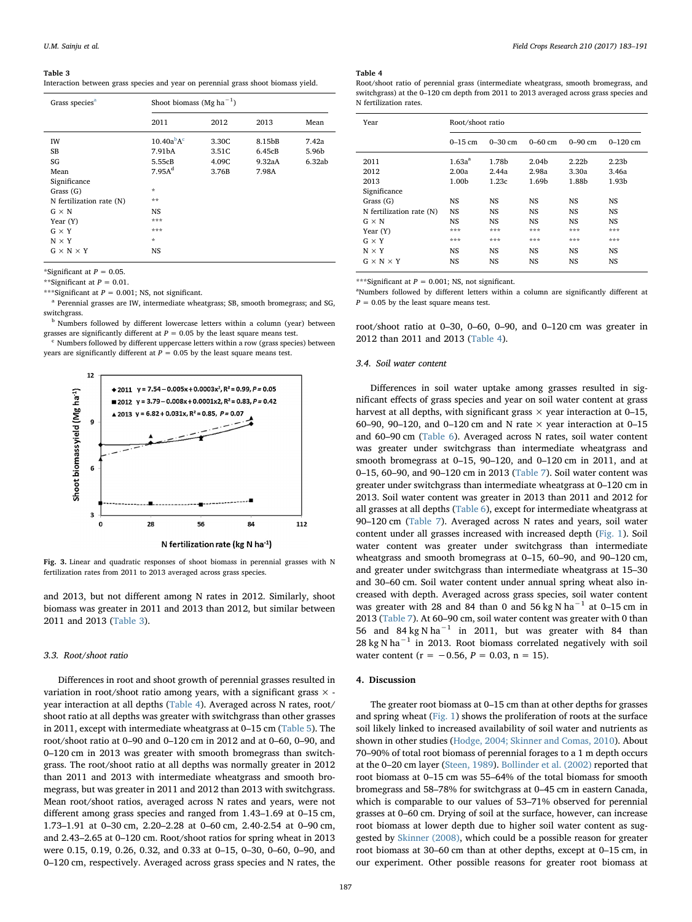<span id="page-4-0"></span>Interaction between grass species and year on perennial grass shoot biomass yield.

| Grass species <sup>a</sup> | Shoot biomass (Mg ha <sup>-1</sup> ) |       |        |        |  |
|----------------------------|--------------------------------------|-------|--------|--------|--|
|                            | 2011                                 | 2012  | 2013   | Mean   |  |
| IW                         | 10.40a <sup>b</sup> A <sup>c</sup>   | 3.30C | 8.15bB | 7.42a  |  |
| <b>SB</b>                  | 7.91bA                               | 3.51C | 6.45cB | 5.96b  |  |
| SG                         | 5.55cB                               | 4.09C | 9.32aA | 6.32ab |  |
| Mean                       | 7.95A <sup>d</sup>                   | 3.76B | 7.98A  |        |  |
| Significance               |                                      |       |        |        |  |
| Grass (G)                  | $\frac{d\mathbf{x}}{d\mathbf{x}}$    |       |        |        |  |
| N fertilization rate (N)   | $**$                                 |       |        |        |  |
| $G \times N$               | NS                                   |       |        |        |  |
| Year (Y)                   | ***                                  |       |        |        |  |
| $G \times Y$               | ***                                  |       |        |        |  |
| $N \times Y$               | $\star$                              |       |        |        |  |
| $G \times N \times Y$      | NS                                   |       |        |        |  |

\*Significant at  $P = 0.05$ .

\*\*Significant at  $P = 0.01$ .

\*\*\*Significant at  $P = 0.001$ ; NS, not significant.

<span id="page-4-3"></span><sup>a</sup> Perennial grasses are IW, intermediate wheatgrass; SB, smooth bromegrass; and SG, switchgrass

<span id="page-4-4"></span><sup>b</sup> Numbers followed by different lowercase letters within a column (year) between grasses are significantly different at  $P = 0.05$  by the least square means test.

<span id="page-4-5"></span><sup>c</sup> Numbers followed by different uppercase letters within a row (grass species) between years are significantly different at  $P = 0.05$  by the least square means test.

<span id="page-4-1"></span>

N fertilization rate (kg N ha-1)

Fig. 3. Linear and quadratic responses of shoot biomass in perennial grasses with N fertilization rates from 2011 to 2013 averaged across grass species.

and 2013, but not different among N rates in 2012. Similarly, shoot biomass was greater in 2011 and 2013 than 2012, but similar between 2011 and 2013 ([Table 3](#page-4-0)).

### 3.3. Root/shoot ratio

Differences in root and shoot growth of perennial grasses resulted in variation in root/shoot ratio among years, with a significant grass  $\times$  year interaction at all depths ([Table 4\)](#page-4-2). Averaged across N rates, root/ shoot ratio at all depths was greater with switchgrass than other grasses in 2011, except with intermediate wheatgrass at 0–15 cm [\(Table 5](#page-5-0)). The root/shoot ratio at 0–90 and 0–120 cm in 2012 and at 0–60, 0–90, and 0–120 cm in 2013 was greater with smooth bromegrass than switchgrass. The root/shoot ratio at all depths was normally greater in 2012 than 2011 and 2013 with intermediate wheatgrass and smooth bromegrass, but was greater in 2011 and 2012 than 2013 with switchgrass. Mean root/shoot ratios, averaged across N rates and years, were not different among grass species and ranged from 1.43–1.69 at 0–15 cm, 1.73–1.91 at 0–30 cm, 2.20–2.28 at 0–60 cm, 2.40-2.54 at 0–90 cm, and 2.43–2.65 at 0–120 cm. Root/shoot ratios for spring wheat in 2013 were 0.15, 0.19, 0.26, 0.32, and 0.33 at 0–15, 0–30, 0–60, 0–90, and 0–120 cm, respectively. Averaged across grass species and N rates, the

# <span id="page-4-2"></span>Table 4

Root/shoot ratio of perennial grass (intermediate wheatgrass, smooth bromegrass, and switchgrass) at the 0–120 cm depth from 2011 to 2013 averaged across grass species and N fertilization rates.

| Year                     | Root/shoot ratio   |             |                   |                   |                   |
|--------------------------|--------------------|-------------|-------------------|-------------------|-------------------|
|                          | $0-15$ cm          | $0 - 30$ cm | $0 - 60$ cm       | $0 - 90$ cm       | $0 - 120$ cm      |
| 2011                     | 1.63a <sup>a</sup> | 1.78b       | 2.04 <sub>b</sub> | 2.22 <sub>b</sub> | 2.23 <sub>b</sub> |
| 2012                     | 2.00a              | 2.44a       | 2.98a             | 3.30a             | 3.46a             |
| 2013                     | 1.00 <sub>b</sub>  | 1.23c       | 1.69b             | 1.88b             | 1.93b             |
| Significance             |                    |             |                   |                   |                   |
| Grass $(G)$              | NS                 | <b>NS</b>   | NS                | <b>NS</b>         | <b>NS</b>         |
| N fertilization rate (N) | <b>NS</b>          | <b>NS</b>   | <b>NS</b>         | <b>NS</b>         | NS                |
| $G \times N$             | NS                 | <b>NS</b>   | NS.               | <b>NS</b>         | <b>NS</b>         |
| Year $(Y)$               | ***                | ***         | ***               | ***               | ***               |
| $G \times Y$             | ***                | ***         | ***               | ***               | ***               |
| $N \times Y$             | <b>NS</b>          | <b>NS</b>   | <b>NS</b>         | <b>NS</b>         | <b>NS</b>         |
| $G \times N \times Y$    | NS                 | <b>NS</b>   | NS                | NS                | NS                |

\*\*\*Significant at  $P = 0.001$ ; NS, not significant.

<sup>a</sup>Numbers followed by different letters within a column are significantly different at  $P = 0.05$  by the least square means test.

root/shoot ratio at 0–30, 0–60, 0–90, and 0–120 cm was greater in 2012 than 2011 and 2013 ([Table 4](#page-4-2)).

# 3.4. Soil water content

Differences in soil water uptake among grasses resulted in significant effects of grass species and year on soil water content at grass harvest at all depths, with significant grass  $\times$  year interaction at 0–15, 60–90, 90–120, and 0–120 cm and N rate  $\times$  year interaction at 0–15 and 60–90 cm ([Table 6\)](#page-5-1). Averaged across N rates, soil water content was greater under switchgrass than intermediate wheatgrass and smooth bromegrass at 0–15, 90–120, and 0–120 cm in 2011, and at 0–15, 60–90, and 90–120 cm in 2013 ([Table 7](#page-6-0)). Soil water content was greater under switchgrass than intermediate wheatgrass at 0–120 cm in 2013. Soil water content was greater in 2013 than 2011 and 2012 for all grasses at all depths [\(Table 6](#page-5-1)), except for intermediate wheatgrass at 90–120 cm [\(Table 7\)](#page-6-0). Averaged across N rates and years, soil water content under all grasses increased with increased depth ([Fig. 1](#page-3-0)). Soil water content was greater under switchgrass than intermediate wheatgrass and smooth bromegrass at 0–15, 60–90, and 90–120 cm, and greater under switchgrass than intermediate wheatgrass at 15–30 and 30–60 cm. Soil water content under annual spring wheat also increased with depth. Averaged across grass species, soil water content was greater with 28 and 84 than 0 and 56 kg N ha<sup>-1</sup> at 0–15 cm in 2013 [\(Table 7](#page-6-0)). At 60–90 cm, soil water content was greater with 0 than 56 and 84 kg N ha<sup> $-1$ </sup> in 2011, but was greater with 84 than 28 kg N ha<sup> $-1$ </sup> in 2013. Root biomass correlated negatively with soil water content ( $r = -0.56$ ,  $P = 0.03$ ,  $n = 15$ ).

# 4. Discussion

The greater root biomass at 0–15 cm than at other depths for grasses and spring wheat ([Fig. 1](#page-3-0)) shows the proliferation of roots at the surface soil likely linked to increased availability of soil water and nutrients as shown in other studies [\(Hodge, 2004; Skinner and Comas, 2010](#page-8-21)). About 70–90% of total root biomass of perennial forages to a 1 m depth occurs at the 0–20 cm layer [\(Steen, 1989\)](#page-8-22). [Bollinder et al. \(2002\)](#page-8-6) reported that root biomass at 0–15 cm was 55–64% of the total biomass for smooth bromegrass and 58–78% for switchgrass at 0–45 cm in eastern Canada, which is comparable to our values of 53–71% observed for perennial grasses at 0–60 cm. Drying of soil at the surface, however, can increase root biomass at lower depth due to higher soil water content as suggested by [Skinner \(2008\),](#page-8-23) which could be a possible reason for greater root biomass at 30–60 cm than at other depths, except at 0–15 cm, in our experiment. Other possible reasons for greater root biomass at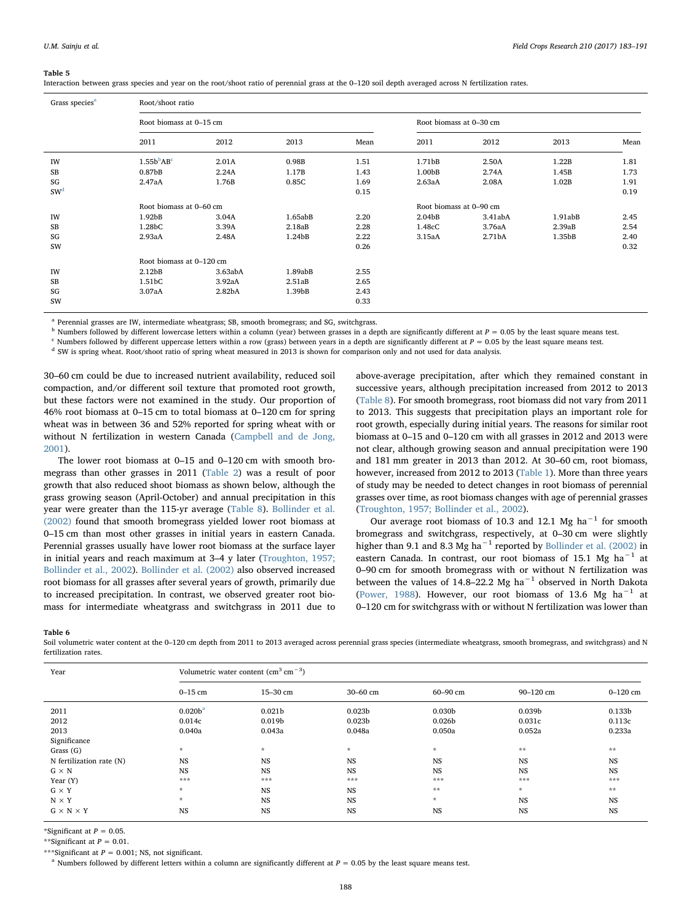<span id="page-5-0"></span>Interaction between grass species and year on the root/shoot ratio of perennial grass at the 0–120 soil depth averaged across N fertilization rates.

| Grass species <sup>a</sup> |                                    | Root/shoot ratio   |                    |                         |                         |         |         |      |  |  |  |
|----------------------------|------------------------------------|--------------------|--------------------|-------------------------|-------------------------|---------|---------|------|--|--|--|
|                            | Root biomass at 0-15 cm            |                    |                    | Root biomass at 0-30 cm |                         |         |         |      |  |  |  |
|                            | 2011                               | 2012               | 2013               | Mean                    | 2011                    | 2012    | 2013    | Mean |  |  |  |
| IW                         | 1.55b <sup>b</sup> AB <sup>c</sup> | 2.01A              | 0.98B              | 1.51                    | 1.71 <sub>bB</sub>      | 2.50A   | 1.22B   | 1.81 |  |  |  |
| SB                         | 0.87 <sub>bB</sub>                 | 2.24A              | 1.17B              | 1.43                    | 1.00bB                  | 2.74A   | 1.45B   | 1.73 |  |  |  |
| SG                         | 2.47aA                             | 1.76B              | 0.85C              | 1.69                    | 2.63aA                  | 2.08A   | 1.02B   | 1.91 |  |  |  |
| SW <sup>d</sup>            |                                    |                    |                    | 0.15                    |                         |         |         | 0.19 |  |  |  |
|                            | Root biomass at 0-60 cm            |                    |                    |                         | Root biomass at 0-90 cm |         |         |      |  |  |  |
| IW                         | 1.92 <sub>bB</sub>                 | 3.04A              | 1.65abB            | 2.20                    | 2.04 <sub>b</sub> B     | 3.41abA | 1.91abB | 2.45 |  |  |  |
| SB                         | 1.28bC                             | 3.39A              | 2.18aB             | 2.28                    | 1.48cC                  | 3.76aA  | 2.39aB  | 2.54 |  |  |  |
| SG                         | 2.93aA                             | 2.48A              | 1.24 <sub>bB</sub> | 2.22                    | 3.15aA                  | 2.71bA  | 1.35bB  | 2.40 |  |  |  |
| SW                         |                                    |                    |                    | 0.26                    |                         |         |         | 0.32 |  |  |  |
|                            | Root biomass at 0-120 cm           |                    |                    |                         |                         |         |         |      |  |  |  |
| IW                         | 2.12 <sub>b</sub> B                | 3.63abA            | 1.89abB            | 2.55                    |                         |         |         |      |  |  |  |
| SB                         | 1.51bC                             | 3.92aA             | 2.51aB             | 2.65                    |                         |         |         |      |  |  |  |
| SG                         | 3.07aA                             | 2.82 <sub>bA</sub> | 1.39bB             | 2.43                    |                         |         |         |      |  |  |  |
| SW                         |                                    |                    |                    | 0.33                    |                         |         |         |      |  |  |  |

<span id="page-5-2"></span><sup>a</sup> Perennial grasses are IW, intermediate wheatgrass; SB, smooth bromegrass; and SG, switchgrass.

<span id="page-5-3"></span> $b$  Numbers followed by different lowercase letters within a column (year) between grasses in a depth are significantly different at  $P = 0.05$  by the least square means test.

<span id="page-5-4"></span> $c$  Numbers followed by different uppercase letters within a row (grass) between years in a depth are significantly different at  $P = 0.05$  by the least square means test.

<span id="page-5-5"></span><sup>d</sup> SW is spring wheat. Root/shoot ratio of spring wheat measured in 2013 is shown for comparison only and not used for data analysis.

30–60 cm could be due to increased nutrient availability, reduced soil compaction, and/or different soil texture that promoted root growth, but these factors were not examined in the study. Our proportion of 46% root biomass at 0–15 cm to total biomass at 0–120 cm for spring wheat was in between 36 and 52% reported for spring wheat with or without N fertilization in western Canada ([Campbell and de Jong,](#page-8-11) [2001\)](#page-8-11).

The lower root biomass at 0–15 and 0–120 cm with smooth bromegrass than other grasses in 2011 [\(Table 2](#page-2-5)) was a result of poor growth that also reduced shoot biomass as shown below, although the grass growing season (April-October) and annual precipitation in this year were greater than the 115-yr average ([Table 8](#page-6-1)). [Bollinder et al.](#page-8-6) [\(2002\)](#page-8-6) found that smooth bromegrass yielded lower root biomass at 0–15 cm than most other grasses in initial years in eastern Canada. Perennial grasses usually have lower root biomass at the surface layer in initial years and reach maximum at 3–4 y later [\(Troughton, 1957;](#page-8-24) [Bollinder et al., 2002\)](#page-8-24). [Bollinder et al. \(2002\)](#page-8-6) also observed increased root biomass for all grasses after several years of growth, primarily due to increased precipitation. In contrast, we observed greater root biomass for intermediate wheatgrass and switchgrass in 2011 due to above-average precipitation, after which they remained constant in successive years, although precipitation increased from 2012 to 2013 ([Table 8\)](#page-6-1). For smooth bromegrass, root biomass did not vary from 2011 to 2013. This suggests that precipitation plays an important role for root growth, especially during initial years. The reasons for similar root biomass at 0–15 and 0–120 cm with all grasses in 2012 and 2013 were not clear, although growing season and annual precipitation were 190 and 181 mm greater in 2013 than 2012. At 30–60 cm, root biomass, however, increased from 2012 to 2013 [\(Table 1](#page-2-0)). More than three years of study may be needed to detect changes in root biomass of perennial grasses over time, as root biomass changes with age of perennial grasses ([Troughton, 1957; Bollinder et al., 2002](#page-8-24)).

Our average root biomass of 10.3 and 12.1 Mg ha<sup>-1</sup> for smooth bromegrass and switchgrass, respectively, at 0–30 cm were slightly higher than 9.1 and 8.3 Mg ha−<sup>1</sup> reported by [Bollinder et al. \(2002\)](#page-8-6) in eastern Canada. In contrast, our root biomass of 15.1 Mg ha<sup>-1</sup> at 0–90 cm for smooth bromegrass with or without N fertilization was between the values of 14.8–22.2 Mg ha−<sup>1</sup> observed in North Dakota ([Power, 1988](#page-8-18)). However, our root biomass of 13.6 Mg ha−<sup>1</sup> at 0–120 cm for switchgrass with or without N fertilization was lower than

#### <span id="page-5-1"></span>Table 6

Soil volumetric water content at the 0-120 cm depth from 2011 to 2013 averaged across perennial grass species (intermediate wheatgrass, smooth bromegrass, and switchgrass) and N fertilization rates.

| Year                     |                        | Volumetric water content $\rm (cm^3 \, cm^{-3})$ |                    |                    |                    |              |  |
|--------------------------|------------------------|--------------------------------------------------|--------------------|--------------------|--------------------|--------------|--|
|                          | $0-15$ cm              | 15-30 cm                                         | $30 - 60$ cm       | 60-90 cm           | 90-120 cm          | $0 - 120$ cm |  |
| 2011                     | 0.020 <sup>b</sup>     | 0.021 <sub>b</sub>                               | 0.023 <sub>b</sub> | 0.030 <sub>b</sub> | 0.039 <sub>b</sub> | 0.133b       |  |
| 2012                     | 0.014c                 | 0.019 <sub>b</sub>                               | 0.023 <sub>b</sub> | 0.026 <sub>b</sub> | 0.031c             | 0.113c       |  |
| 2013                     | 0.040a                 | 0.043a                                           | 0.048a             | 0.050a             | 0.052a             | 0.233a       |  |
| Significance             |                        |                                                  |                    |                    |                    |              |  |
| Grass (G)                | $\mathcal{R}^{\prime}$ | $\mathcal{R}$                                    | $\mathcal{R}$      | $\star$            | **                 | **           |  |
| N fertilization rate (N) | <b>NS</b>              | <b>NS</b>                                        | <b>NS</b>          | <b>NS</b>          | <b>NS</b>          | <b>NS</b>    |  |
| $G \times N$             | <b>NS</b>              | <b>NS</b>                                        | <b>NS</b>          | <b>NS</b>          | <b>NS</b>          | <b>NS</b>    |  |
| Year $(Y)$               | ***                    | ***                                              | ***                | ***                | ***                | ***          |  |
| $G \times Y$             | $\star$                | <b>NS</b>                                        | <b>NS</b>          | **                 | $\star$            | **           |  |
| $N \times Y$             | $\star$                | <b>NS</b>                                        | <b>NS</b>          | $\star$            | <b>NS</b>          | <b>NS</b>    |  |
| $G \times N \times Y$    | <b>NS</b>              | NS                                               | <b>NS</b>          | <b>NS</b>          | NS                 | <b>NS</b>    |  |

\*Significant at  $P = 0.05$ .

\*\*Significant at  $P = 0.01$ .

\*\*\*Significant at  $P = 0.001$ ; NS, not significant.

<span id="page-5-6"></span><sup>a</sup> Numbers followed by different letters within a column are significantly different at  $P = 0.05$  by the least square means test.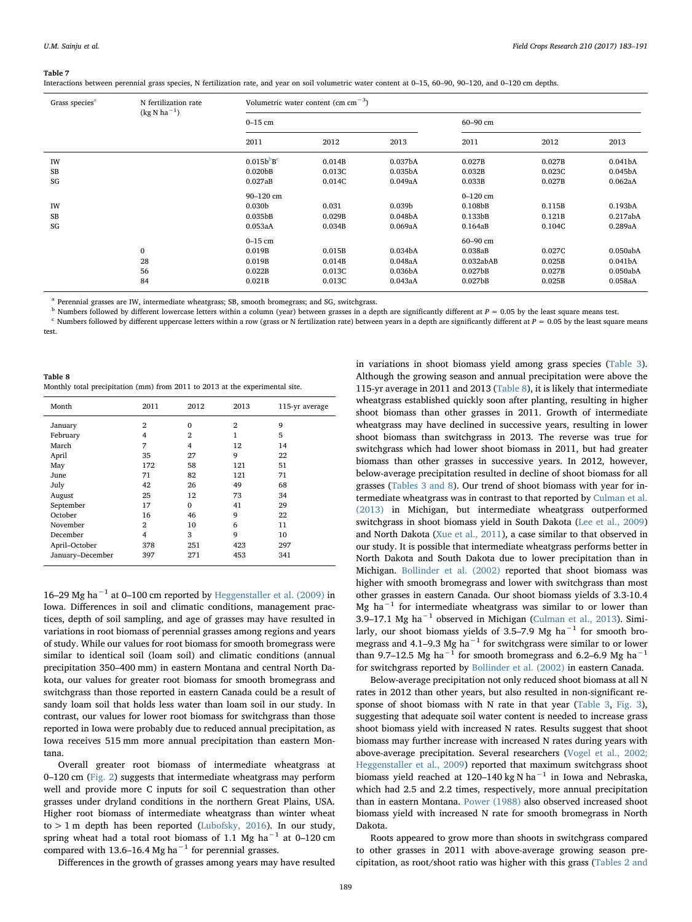<span id="page-6-0"></span>Interactions between perennial grass species, N fertilization rate, and year on soil volumetric water content at 0–15, 60–90, 90–120, and 0–120 cm depths.

| Grass species <sup>a</sup> | N fertilization rate<br>$(kg$ N ha <sup>-1</sup> ) | Volumetric water content (cm $cm^{-3}$ ) |        |                      |                     |        |                     |
|----------------------------|----------------------------------------------------|------------------------------------------|--------|----------------------|---------------------|--------|---------------------|
|                            |                                                    | $0-15$ cm                                |        |                      | 60-90 cm            |        |                     |
|                            |                                                    | 2011                                     | 2012   | 2013                 | 2011                | 2012   | 2013                |
| IW                         |                                                    | $0.015b^{b}B^{c}$                        | 0.014B | 0.037 <sub>b</sub> A | 0.027B              | 0.027B | 0.041 <sub>bA</sub> |
| <b>SB</b>                  |                                                    | 0.020 <sub>b</sub> B                     | 0.013C | 0.035 <sub>b</sub> A | 0.032B              | 0.023C | 0.045 <sub>bA</sub> |
| SG                         |                                                    | 0.027aB                                  | 0.014C | 0.049aA              | 0.033B              | 0.027B | 0.062aA             |
|                            |                                                    | 90-120 cm                                |        |                      | $0 - 120$ cm        |        |                     |
| IW                         |                                                    | 0.030 <sub>b</sub>                       | 0.031  | 0.039 <sub>b</sub>   | 0.108 <sub>bB</sub> | 0.115B | 0.193bA             |
| <b>SB</b>                  |                                                    | 0.035 <sub>bB</sub>                      | 0.029B | 0.048 <sub>bA</sub>  | 0.133 <sub>bB</sub> | 0.121B | 0.217abA            |
| SG                         |                                                    | 0.053aA                                  | 0.034B | 0.069aA              | 0.164aB             | 0.104C | 0.289aA             |
|                            |                                                    | $0-15$ cm                                |        |                      | 60-90 cm            |        |                     |
|                            | $\bf{0}$                                           | 0.019B                                   | 0.015B | 0.034 <sub>b</sub> A | 0.038aB             | 0.027C | 0.050abA            |
|                            | 28                                                 | 0.019B                                   | 0.014B | 0.048aA              | 0.032abAB           | 0.025B | 0.041 <sub>bA</sub> |
|                            | 56                                                 | 0.022B                                   | 0.013C | 0.036 <sub>b</sub> A | 0.027 <sub>bB</sub> | 0.027B | 0.050abA            |
|                            | 84                                                 | 0.021B                                   | 0.013C | 0.043aA              | 0.027 <sub>bB</sub> | 0.025B | 0.058aA             |

<span id="page-6-2"></span><sup>a</sup> Perennial grasses are IW, intermediate wheatgrass; SB, smooth bromegrass; and SG, switchgrass.

<span id="page-6-3"></span> $^{\text{b}}$  Numbers followed by different lowercase letters within a column (year) between grasses in a depth are significantly different at  $P = 0.05$  by the least square means test.

<span id="page-6-4"></span> $c$  Numbers followed by different uppercase letters within a row (grass or N fertilization rate) between years in a depth are significantly different at  $P = 0.05$  by the least square means test.

<span id="page-6-1"></span>

| Table 8                                                                      |  |  |
|------------------------------------------------------------------------------|--|--|
| Monthly total precipitation (mm) from 2011 to 2013 at the experimental site. |  |  |

| Month            | 2011           | 2012           | 2013           | 115-yr average |
|------------------|----------------|----------------|----------------|----------------|
| January          | $\overline{2}$ | $\Omega$       | $\overline{2}$ | 9              |
| February         | 4              | $\overline{2}$ | 1              | 5              |
| March            | 7              | 4              | 12             | 14             |
| April            | 35             | 27             | 9              | 22             |
| May              | 172            | 58             | 121            | 51             |
| June             | 71             | 82             | 121            | 71             |
| July             | 42             | 26             | 49             | 68             |
| August           | 25             | 12             | 73             | 34             |
| September        | 17             | 0              | 41             | 29             |
| October          | 16             | 46             | 9              | 22             |
| November         | $\overline{2}$ | 10             | 6              | 11             |
| December         | $\overline{4}$ | 3              | 9              | 10             |
| April-October    | 378            | 251            | 423            | 297            |
| January-December | 397            | 271            | 453            | 341            |

16–29 Mg ha−<sup>1</sup> at 0–100 cm reported by [Heggenstaller et al. \(2009\)](#page-8-16) in Iowa. Differences in soil and climatic conditions, management practices, depth of soil sampling, and age of grasses may have resulted in variations in root biomass of perennial grasses among regions and years of study. While our values for root biomass for smooth bromegrass were similar to identical soil (loam soil) and climatic conditions (annual precipitation 350–400 mm) in eastern Montana and central North Dakota, our values for greater root biomass for smooth bromegrass and switchgrass than those reported in eastern Canada could be a result of sandy loam soil that holds less water than loam soil in our study. In contrast, our values for lower root biomass for switchgrass than those reported in Iowa were probably due to reduced annual precipitation, as Iowa receives 515 mm more annual precipitation than eastern Montana.

Overall greater root biomass of intermediate wheatgrass at 0–120 cm ([Fig. 2](#page-3-1)) suggests that intermediate wheatgrass may perform well and provide more C inputs for soil C sequestration than other grasses under dryland conditions in the northern Great Plains, USA. Higher root biomass of intermediate wheatgrass than winter wheat  $to$  > 1 m depth has been reported [\(Lubofsky, 2016\)](#page-8-25). In our study, spring wheat had a total root biomass of 1.1 Mg ha<sup>-1</sup> at 0-120 cm compared with 13.6–16.4 Mg ha<sup> $-1$ </sup> for perennial grasses.

Differences in the growth of grasses among years may have resulted

in variations in shoot biomass yield among grass species ([Table 3](#page-4-0)). Although the growing season and annual precipitation were above the 115-yr average in 2011 and 2013 ([Table 8\)](#page-6-1), it is likely that intermediate wheatgrass established quickly soon after planting, resulting in higher shoot biomass than other grasses in 2011. Growth of intermediate wheatgrass may have declined in successive years, resulting in lower shoot biomass than switchgrass in 2013. The reverse was true for switchgrass which had lower shoot biomass in 2011, but had greater biomass than other grasses in successive years. In 2012, however, below-average precipitation resulted in decline of shoot biomass for all grasses [\(Tables 3 and 8](#page-4-0)). Our trend of shoot biomass with year for intermediate wheatgrass was in contrast to that reported by [Culman et al.](#page-8-15) [\(2013\)](#page-8-15) in Michigan, but intermediate wheatgrass outperformed switchgrass in shoot biomass yield in South Dakota [\(Lee et al., 2009\)](#page-8-26) and North Dakota ([Xue et al., 2011](#page-8-27)), a case similar to that observed in our study. It is possible that intermediate wheatgrass performs better in North Dakota and South Dakota due to lower precipitation than in Michigan. [Bollinder et al. \(2002\)](#page-8-6) reported that shoot biomass was higher with smooth bromegrass and lower with switchgrass than most other grasses in eastern Canada. Our shoot biomass yields of 3.3-10.4 Mg ha−<sup>1</sup> for intermediate wheatgrass was similar to or lower than 3.9–17.1 Mg ha−<sup>1</sup> observed in Michigan [\(Culman et al., 2013](#page-8-15)). Similarly, our shoot biomass yields of 3.5–7.9 Mg ha<sup>-1</sup> for smooth bromegrass and 4.1–9.3 Mg ha<sup> $-1$ </sup> for switchgrass were similar to or lower than 9.7–12.5 Mg ha<sup>-1</sup> for smooth bromegrass and 6.2–6.9 Mg ha<sup>-1</sup> for switchgrass reported by [Bollinder et al. \(2002\)](#page-8-6) in eastern Canada.

Below-average precipitation not only reduced shoot biomass at all N rates in 2012 than other years, but also resulted in non-significant response of shoot biomass with N rate in that year [\(Table 3,](#page-4-0) [Fig. 3](#page-4-1)), suggesting that adequate soil water content is needed to increase grass shoot biomass yield with increased N rates. Results suggest that shoot biomass may further increase with increased N rates during years with above-average precipitation. Several researchers ([Vogel et al., 2002;](#page-8-28) [Heggenstaller et al., 2009\)](#page-8-28) reported that maximum switchgrass shoot biomass yield reached at 120–140 kg N ha<sup>-1</sup> in Iowa and Nebraska, which had 2.5 and 2.2 times, respectively, more annual precipitation than in eastern Montana. [Power \(1988\)](#page-8-18) also observed increased shoot biomass yield with increased N rate for smooth bromegrass in North Dakota.

Roots appeared to grow more than shoots in switchgrass compared to other grasses in 2011 with above-average growing season precipitation, as root/shoot ratio was higher with this grass [\(Tables 2 and](#page-2-5)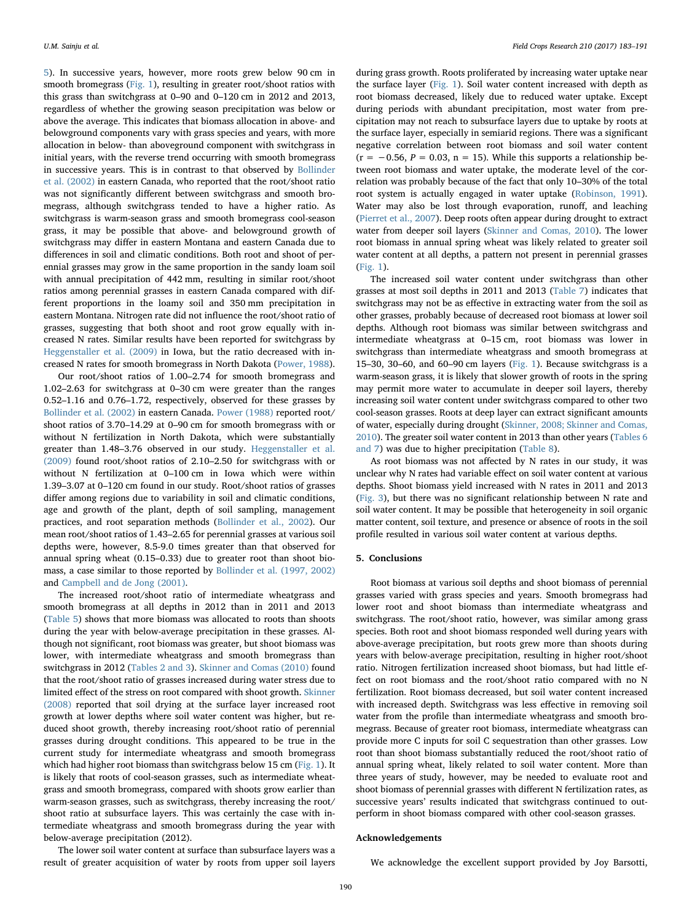[5](#page-2-5)). In successive years, however, more roots grew below 90 cm in smooth bromegrass ([Fig. 1](#page-3-0)), resulting in greater root/shoot ratios with this grass than switchgrass at 0–90 and 0–120 cm in 2012 and 2013, regardless of whether the growing season precipitation was below or above the average. This indicates that biomass allocation in above- and belowground components vary with grass species and years, with more allocation in below- than aboveground component with switchgrass in initial years, with the reverse trend occurring with smooth bromegrass in successive years. This is in contrast to that observed by [Bollinder](#page-8-6) [et al. \(2002\)](#page-8-6) in eastern Canada, who reported that the root/shoot ratio was not significantly different between switchgrass and smooth bromegrass, although switchgrass tended to have a higher ratio. As switchgrass is warm-season grass and smooth bromegrass cool-season grass, it may be possible that above- and belowground growth of switchgrass may differ in eastern Montana and eastern Canada due to differences in soil and climatic conditions. Both root and shoot of perennial grasses may grow in the same proportion in the sandy loam soil with annual precipitation of 442 mm, resulting in similar root/shoot ratios among perennial grasses in eastern Canada compared with different proportions in the loamy soil and 350 mm precipitation in eastern Montana. Nitrogen rate did not influence the root/shoot ratio of grasses, suggesting that both shoot and root grow equally with increased N rates. Similar results have been reported for switchgrass by [Heggenstaller et al. \(2009\)](#page-8-16) in Iowa, but the ratio decreased with increased N rates for smooth bromegrass in North Dakota ([Power, 1988](#page-8-18)).

Our root/shoot ratios of 1.00–2.74 for smooth bromegrass and 1.02–2.63 for switchgrass at 0–30 cm were greater than the ranges 0.52–1.16 and 0.76–1.72, respectively, observed for these grasses by [Bollinder et al. \(2002\)](#page-8-6) in eastern Canada. [Power \(1988\)](#page-8-18) reported root/ shoot ratios of 3.70–14.29 at 0–90 cm for smooth bromegrass with or without N fertilization in North Dakota, which were substantially greater than 1.48–3.76 observed in our study. [Heggenstaller et al.](#page-8-16) [\(2009\)](#page-8-16) found root/shoot ratios of 2.10–2.50 for switchgrass with or without N fertilization at 0–100 cm in Iowa which were within 1.39–3.07 at 0–120 cm found in our study. Root/shoot ratios of grasses differ among regions due to variability in soil and climatic conditions, age and growth of the plant, depth of soil sampling, management practices, and root separation methods [\(Bollinder et al., 2002](#page-8-6)). Our mean root/shoot ratios of 1.43–2.65 for perennial grasses at various soil depths were, however, 8.5-9.0 times greater than that observed for annual spring wheat (0.15–0.33) due to greater root than shoot biomass, a case similar to those reported by [Bollinder et al. \(1997, 2002\)](#page-8-8) and Campbell [and de Jong \(2001\).](#page-8-11)

The increased root/shoot ratio of intermediate wheatgrass and smooth bromegrass at all depths in 2012 than in 2011 and 2013 ([Table 5](#page-5-0)) shows that more biomass was allocated to roots than shoots during the year with below-average precipitation in these grasses. Although not significant, root biomass was greater, but shoot biomass was lower, with intermediate wheatgrass and smooth bromegrass than switchgrass in 2012 ([Tables 2 and 3](#page-2-5)). [Skinner and Comas \(2010\)](#page-8-14) found that the root/shoot ratio of grasses increased during water stress due to limited effect of the stress on root compared with shoot growth. [Skinner](#page-8-23) [\(2008\)](#page-8-23) reported that soil drying at the surface layer increased root growth at lower depths where soil water content was higher, but reduced shoot growth, thereby increasing root/shoot ratio of perennial grasses during drought conditions. This appeared to be true in the current study for intermediate wheatgrass and smooth bromegrass which had higher root biomass than switchgrass below 15 cm ([Fig. 1](#page-3-0)). It is likely that roots of cool-season grasses, such as intermediate wheatgrass and smooth bromegrass, compared with shoots grow earlier than warm-season grasses, such as switchgrass, thereby increasing the root/ shoot ratio at subsurface layers. This was certainly the case with intermediate wheatgrass and smooth bromegrass during the year with below-average precipitation (2012).

The lower soil water content at surface than subsurface layers was a result of greater acquisition of water by roots from upper soil layers

during grass growth. Roots proliferated by increasing water uptake near the surface layer [\(Fig. 1\)](#page-3-0). Soil water content increased with depth as root biomass decreased, likely due to reduced water uptake. Except during periods with abundant precipitation, most water from precipitation may not reach to subsurface layers due to uptake by roots at the surface layer, especially in semiarid regions. There was a significant negative correlation between root biomass and soil water content  $(r = -0.56, P = 0.03, n = 15)$ . While this supports a relationship between root biomass and water uptake, the moderate level of the correlation was probably because of the fact that only 10–30% of the total root system is actually engaged in water uptake [\(Robinson, 1991](#page-8-13)). Water may also be lost through evaporation, runoff, and leaching ([Pierret et al., 2007](#page-8-12)). Deep roots often appear during drought to extract water from deeper soil layers ([Skinner and Comas, 2010\)](#page-8-14). The lower root biomass in annual spring wheat was likely related to greater soil water content at all depths, a pattern not present in perennial grasses ([Fig. 1\)](#page-3-0).

The increased soil water content under switchgrass than other grasses at most soil depths in 2011 and 2013 [\(Table 7](#page-6-0)) indicates that switchgrass may not be as effective in extracting water from the soil as other grasses, probably because of decreased root biomass at lower soil depths. Although root biomass was similar between switchgrass and intermediate wheatgrass at 0–15 cm, root biomass was lower in switchgrass than intermediate wheatgrass and smooth bromegrass at 15–30, 30–60, and 60–90 cm layers [\(Fig. 1](#page-3-0)). Because switchgrass is a warm-season grass, it is likely that slower growth of roots in the spring may permit more water to accumulate in deeper soil layers, thereby increasing soil water content under switchgrass compared to other two cool-season grasses. Roots at deep layer can extract significant amounts of water, especially during drought ([Skinner, 2008; Skinner and Comas,](#page-8-23) [2010\)](#page-8-23). The greater soil water content in 2013 than other years ([Tables 6](#page-5-1) [and 7\)](#page-5-1) was due to higher precipitation [\(Table 8\)](#page-6-1).

As root biomass was not affected by N rates in our study, it was unclear why N rates had variable effect on soil water content at various depths. Shoot biomass yield increased with N rates in 2011 and 2013 ([Fig. 3](#page-4-1)), but there was no significant relationship between N rate and soil water content. It may be possible that heterogeneity in soil organic matter content, soil texture, and presence or absence of roots in the soil profile resulted in various soil water content at various depths.

## 5. Conclusions

Root biomass at various soil depths and shoot biomass of perennial grasses varied with grass species and years. Smooth bromegrass had lower root and shoot biomass than intermediate wheatgrass and switchgrass. The root/shoot ratio, however, was similar among grass species. Both root and shoot biomass responded well during years with above-average precipitation, but roots grew more than shoots during years with below-average precipitation, resulting in higher root/shoot ratio. Nitrogen fertilization increased shoot biomass, but had little effect on root biomass and the root/shoot ratio compared with no N fertilization. Root biomass decreased, but soil water content increased with increased depth. Switchgrass was less effective in removing soil water from the profile than intermediate wheatgrass and smooth bromegrass. Because of greater root biomass, intermediate wheatgrass can provide more C inputs for soil C sequestration than other grasses. Low root than shoot biomass substantially reduced the root/shoot ratio of annual spring wheat, likely related to soil water content. More than three years of study, however, may be needed to evaluate root and shoot biomass of perennial grasses with different N fertilization rates, as successive years' results indicated that switchgrass continued to outperform in shoot biomass compared with other cool-season grasses.

# Acknowledgements

We acknowledge the excellent support provided by Joy Barsotti,